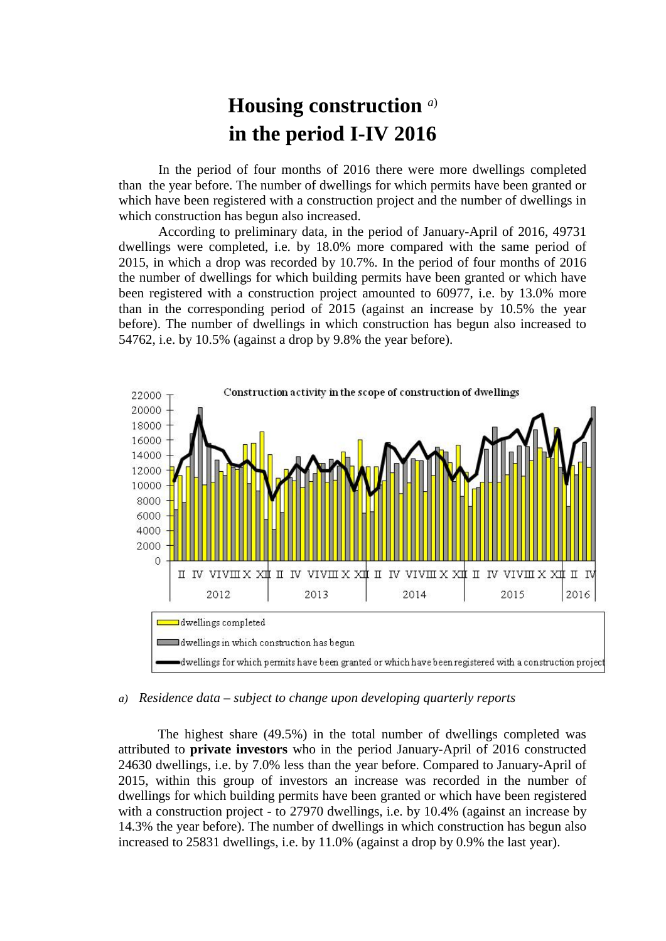## **Housing construction** *a*) **in the period I-IV 2016**

In the period of four months of 2016 there were more dwellings completed than the year before. The number of dwellings for which permits have been granted or which have been registered with a construction project and the number of dwellings in which construction has begun also increased.

According to preliminary data, in the period of January-April of 2016, 49731 dwellings were completed, i.e. by 18.0% more compared with the same period of 2015, in which a drop was recorded by 10.7%. In the period of four months of 2016 the number of dwellings for which building permits have been granted or which have been registered with a construction project amounted to 60977, i.e. by 13.0% more than in the corresponding period of 2015 (against an increase by 10.5% the year before). The number of dwellings in which construction has begun also increased to 54762, i.e. by 10.5% (against a drop by 9.8% the year before).



## *a) Residence data – subject to change upon developing quarterly reports*

The highest share (49.5%) in the total number of dwellings completed was attributed to **private investors** who in the period January-April of 2016 constructed 24630 dwellings, i.e. by 7.0% less than the year before. Compared to January-April of 2015, within this group of investors an increase was recorded in the number of dwellings for which building permits have been granted or which have been registered with a construction project - to 27970 dwellings, i.e. by 10.4% (against an increase by 14.3% the year before). The number of dwellings in which construction has begun also increased to 25831 dwellings, i.e. by 11.0% (against a drop by 0.9% the last year).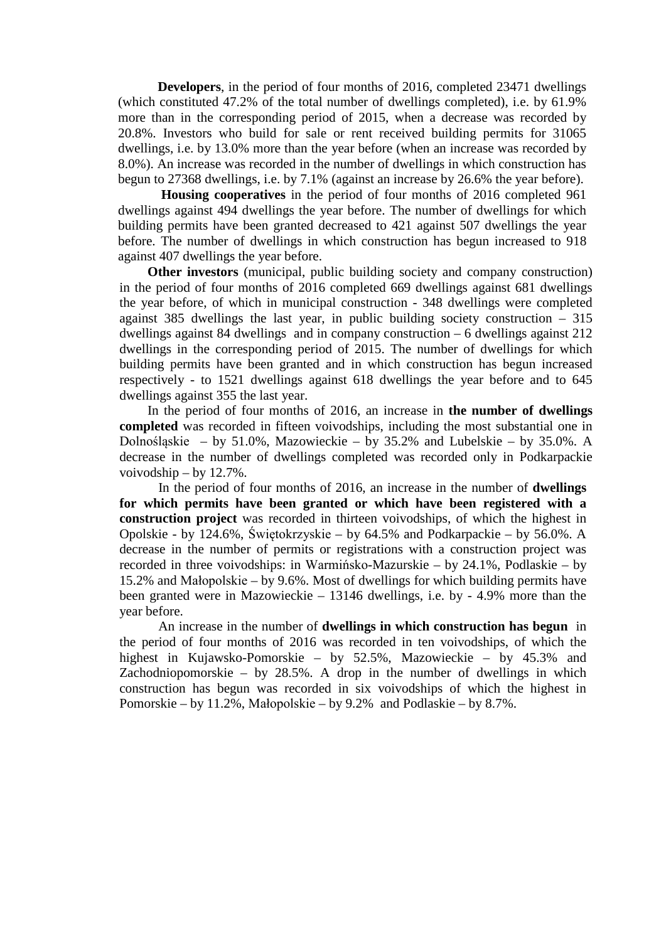**Developers**, in the period of four months of 2016, completed 23471 dwellings (which constituted 47.2% of the total number of dwellings completed), i.e. by 61.9% more than in the corresponding period of 2015, when a decrease was recorded by 20.8%. Investors who build for sale or rent received building permits for 31065 dwellings, i.e. by 13.0% more than the year before (when an increase was recorded by 8.0%). An increase was recorded in the number of dwellings in which construction has begun to 27368 dwellings, i.e. by 7.1% (against an increase by 26.6% the year before).

**Housing cooperatives** in the period of four months of 2016 completed 961 dwellings against 494 dwellings the year before. The number of dwellings for which building permits have been granted decreased to 421 against 507 dwellings the year before. The number of dwellings in which construction has begun increased to 918 against 407 dwellings the year before.

**Other investors** (municipal, public building society and company construction) in the period of four months of 2016 completed 669 dwellings against 681 dwellings the year before, of which in municipal construction - 348 dwellings were completed against 385 dwellings the last year, in public building society construction – 315 dwellings against 84 dwellings and in company construction – 6 dwellings against 212 dwellings in the corresponding period of 2015. The number of dwellings for which building permits have been granted and in which construction has begun increased respectively - to 1521 dwellings against 618 dwellings the year before and to 645 dwellings against 355 the last year.

In the period of four months of 2016, an increase in **the number of dwellings completed** was recorded in fifteen voivodships, including the most substantial one in Dolnośląskie – by 51.0%, Mazowieckie – by 35.2% and Lubelskie – by 35.0%. A decrease in the number of dwellings completed was recorded only in Podkarpackie voivodship – by 12.7%.

In the period of four months of 2016, an increase in the number of **dwellings for which permits have been granted or which have been registered with a construction project** was recorded in thirteen voivodships, of which the highest in Opolskie - by 124.6%, Świętokrzyskie – by 64.5% and Podkarpackie – by 56.0%. A decrease in the number of permits or registrations with a construction project was recorded in three voivodships: in Warmińsko-Mazurskie – by 24.1%, Podlaskie – by 15.2% and Małopolskie – by 9.6%. Most of dwellings for which building permits have been granted were in Mazowieckie – 13146 dwellings, i.e. by - 4.9% more than the year before.

An increase in the number of **dwellings in which construction has begun** in the period of four months of 2016 was recorded in ten voivodships, of which the highest in Kujawsko-Pomorskie – by 52.5%, Mazowieckie – by 45.3% and Zachodniopomorskie – by 28.5%. A drop in the number of dwellings in which construction has begun was recorded in six voivodships of which the highest in Pomorskie – by 11.2%, Małopolskie – by 9.2% and Podlaskie – by 8.7%.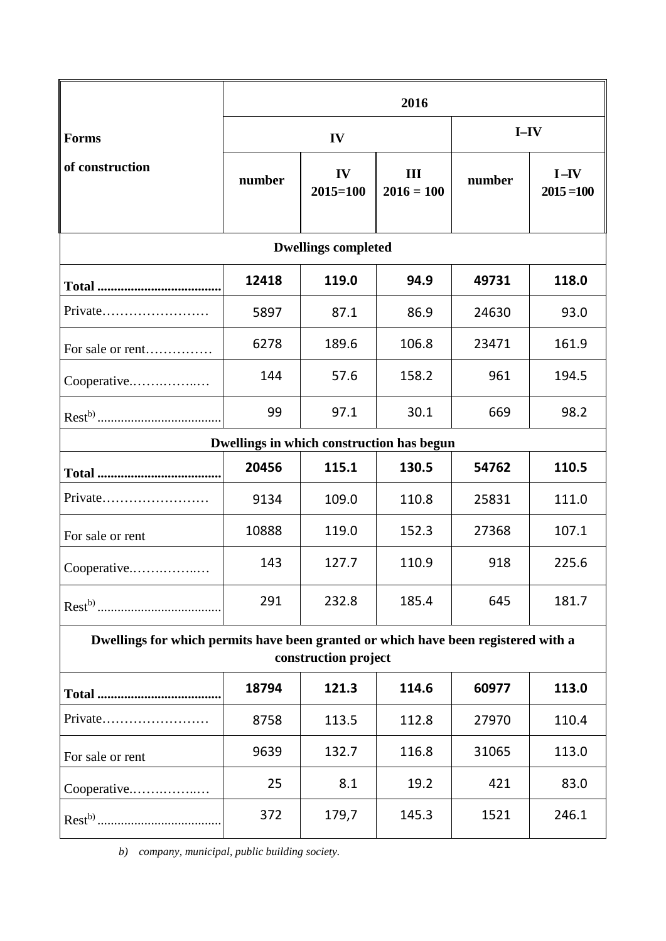|                                                                                                            | 2016   |                    |                     |        |                          |
|------------------------------------------------------------------------------------------------------------|--------|--------------------|---------------------|--------|--------------------------|
| <b>Forms</b><br>of construction                                                                            | IV     |                    |                     | $I-IV$ |                          |
|                                                                                                            | number | IV<br>$2015 = 100$ | III<br>$2016 = 100$ | number | $I - IV$<br>$2015 = 100$ |
| <b>Dwellings completed</b>                                                                                 |        |                    |                     |        |                          |
|                                                                                                            | 12418  | 119.0              | 94.9                | 49731  | 118.0                    |
|                                                                                                            | 5897   | 87.1               | 86.9                | 24630  | 93.0                     |
| For sale or rent                                                                                           | 6278   | 189.6              | 106.8               | 23471  | 161.9                    |
| Cooperative                                                                                                | 144    | 57.6               | 158.2               | 961    | 194.5                    |
|                                                                                                            | 99     | 97.1               | 30.1                | 669    | 98.2                     |
| Dwellings in which construction has begun                                                                  |        |                    |                     |        |                          |
|                                                                                                            | 20456  | 115.1              | 130.5               | 54762  | 110.5                    |
| Private                                                                                                    | 9134   | 109.0              | 110.8               | 25831  | 111.0                    |
| For sale or rent                                                                                           | 10888  | 119.0              | 152.3               | 27368  | 107.1                    |
| Cooperative                                                                                                | 143    | 127.7              | 110.9               | 918    | 225.6                    |
|                                                                                                            | 291    | 232.8              | 185.4               | 645    | 181.7                    |
| Dwellings for which permits have been granted or which have been registered with a<br>construction project |        |                    |                     |        |                          |
|                                                                                                            | 18794  | 121.3              | 114.6               | 60977  | 113.0                    |
| $Private$                                                                                                  | 8758   | 113.5              | 112.8               | 27970  | 110.4                    |
| For sale or rent                                                                                           | 9639   | 132.7              | 116.8               | 31065  | 113.0                    |
| Cooperative                                                                                                | 25     | 8.1                | 19.2                | 421    | 83.0                     |
|                                                                                                            | 372    | 179,7              | 145.3               | 1521   | 246.1                    |

*b) company, municipal, public building society.*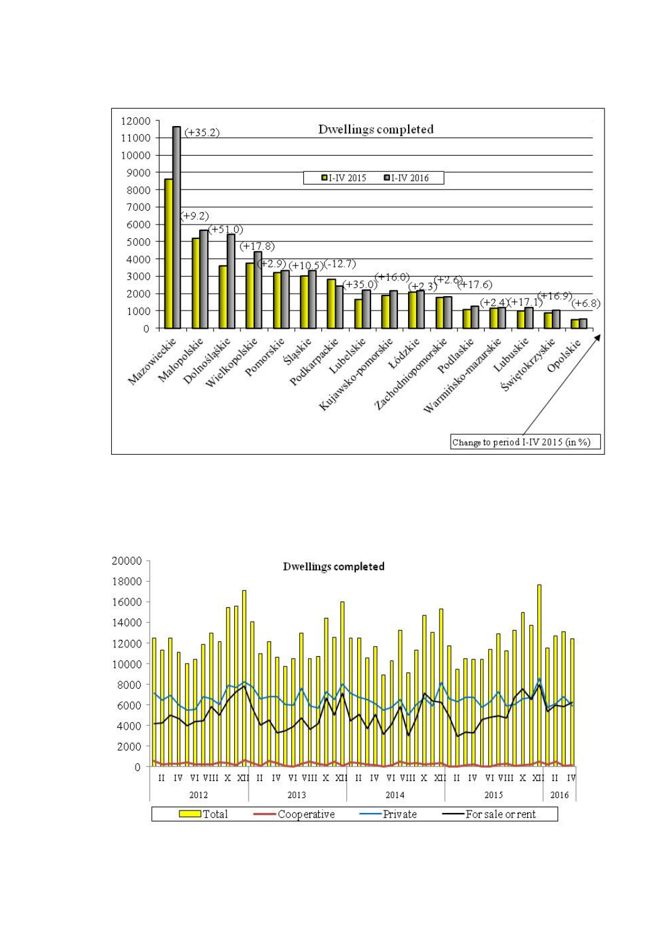